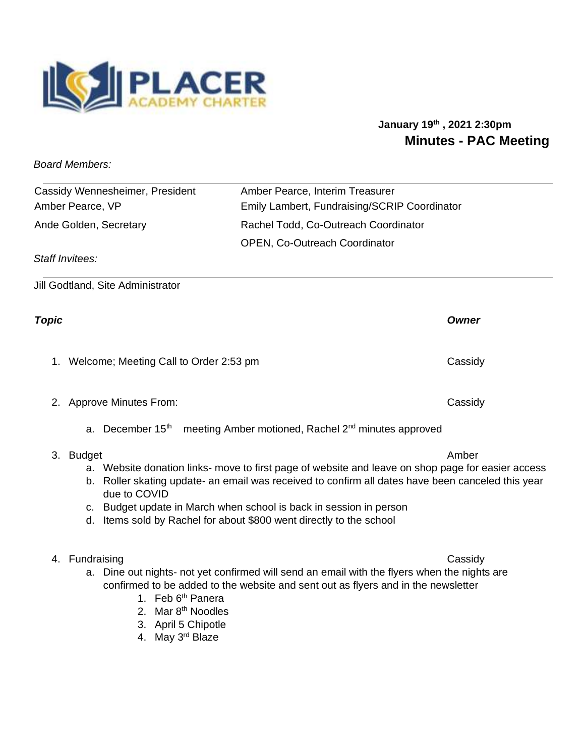

# **January 19th , 2021 2:30pm Minutes - PAC Meeting**

*Board Members:* 

| Cassidy Wennesheimer, President | Amber Pearce, Interim Treasurer              |
|---------------------------------|----------------------------------------------|
| Amber Pearce, VP                | Emily Lambert, Fundraising/SCRIP Coordinator |
| Ande Golden, Secretary          | Rachel Todd, Co-Outreach Coordinator         |
|                                 | <b>OPEN, Co-Outreach Coordinator</b>         |

*Staff Invitees:* 

Jill Godtland, Site Administrator

1. Welcome; Meeting Call to Order 2:53 pm Cassidy

2. Approve Minutes From: Cassidy

a. December  $15<sup>th</sup>$  meeting Amber motioned, Rachel  $2<sup>nd</sup>$  minutes approved

## 3. Budget Amber

- a. Website donation links- move to first page of website and leave on shop page for easier access
- b. Roller skating update- an email was received to confirm all dates have been canceled this year due to COVID
- c. Budget update in March when school is back in session in person
- d. Items sold by Rachel for about \$800 went directly to the school

## 4. Fundraising Cassidy

- a. Dine out nights- not yet confirmed will send an email with the flyers when the nights are confirmed to be added to the website and sent out as flyers and in the newsletter
	- 1. Feb 6<sup>th</sup> Panera
	- 2. Mar 8th Noodles
	- 3. April 5 Chipotle
	- 4. May 3rd Blaze

*Topic Owner*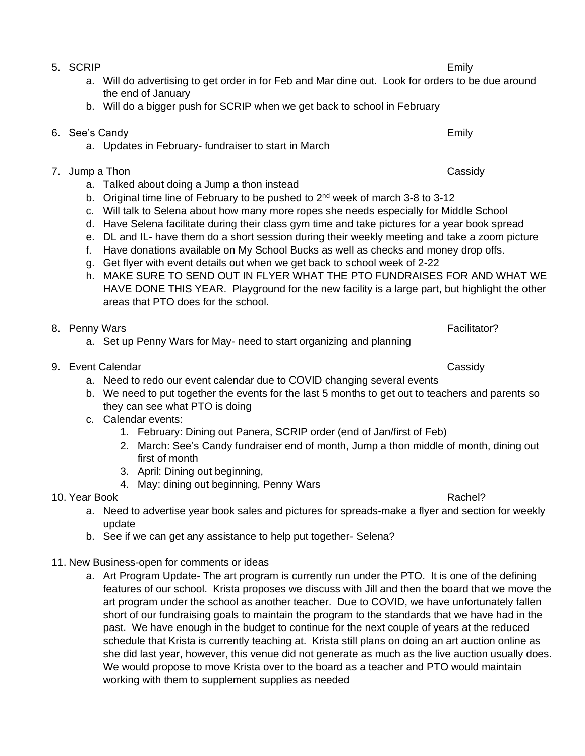- 5. SCRIP Emily
	- a. Will do advertising to get order in for Feb and Mar dine out. Look for orders to be due around the end of January
	- b. Will do a bigger push for SCRIP when we get back to school in February
- 6. See's Candy Emily
	- a. Updates in February- fundraiser to start in March
- 7. Jump a Thon Cassidy
	- a. Talked about doing a Jump a thon instead
	- b. Original time line of February to be pushed to  $2<sup>nd</sup>$  week of march 3-8 to 3-12
	- c. Will talk to Selena about how many more ropes she needs especially for Middle School
	- d. Have Selena facilitate during their class gym time and take pictures for a year book spread
	- e. DL and IL- have them do a short session during their weekly meeting and take a zoom picture
	- f. Have donations available on My School Bucks as well as checks and money drop offs.
	- g. Get flyer with event details out when we get back to school week of 2-22
	- h. MAKE SURE TO SEND OUT IN FLYER WHAT THE PTO FUNDRAISES FOR AND WHAT WE HAVE DONE THIS YEAR. Playground for the new facility is a large part, but highlight the other areas that PTO does for the school.
- 8. Penny Wars Facilitator?
	- a. Set up Penny Wars for May- need to start organizing and planning
- 9. Event Calendar Cassidy Cassidy
	- a. Need to redo our event calendar due to COVID changing several events
	- b. We need to put together the events for the last 5 months to get out to teachers and parents so they can see what PTO is doing
	- c. Calendar events:
		- 1. February: Dining out Panera, SCRIP order (end of Jan/first of Feb)
		- 2. March: See's Candy fundraiser end of month, Jump a thon middle of month, dining out first of month
		- 3. April: Dining out beginning,
		- 4. May: dining out beginning, Penny Wars
- 10. Year Book Rachel?
	- a. Need to advertise year book sales and pictures for spreads-make a flyer and section for weekly update
	- b. See if we can get any assistance to help put together- Selena?
- 11. New Business-open for comments or ideas
	- a. Art Program Update- The art program is currently run under the PTO. It is one of the defining features of our school. Krista proposes we discuss with Jill and then the board that we move the art program under the school as another teacher. Due to COVID, we have unfortunately fallen short of our fundraising goals to maintain the program to the standards that we have had in the past. We have enough in the budget to continue for the next couple of years at the reduced schedule that Krista is currently teaching at. Krista still plans on doing an art auction online as she did last year, however, this venue did not generate as much as the live auction usually does. We would propose to move Krista over to the board as a teacher and PTO would maintain working with them to supplement supplies as needed